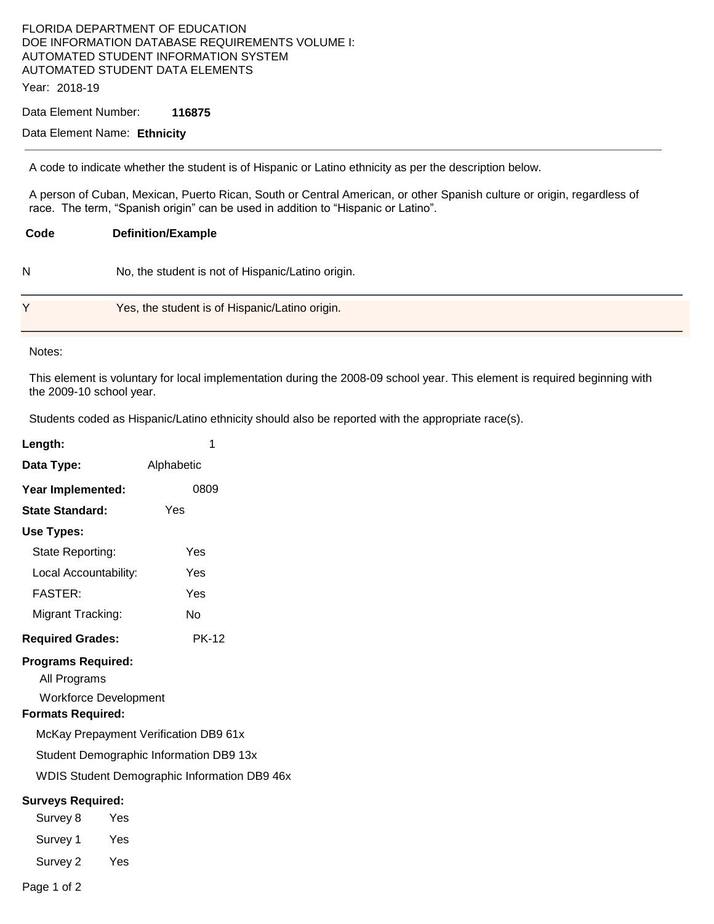## FLORIDA DEPARTMENT OF EDUCATION DOE INFORMATION DATABASE REQUIREMENTS VOLUME I: AUTOMATED STUDENT INFORMATION SYSTEM AUTOMATED STUDENT DATA ELEMENTS

Year: 2018-19

### Data Element Number: **116875**

## Data Element Name: **Ethnicity**

A code to indicate whether the student is of Hispanic or Latino ethnicity as per the description below.

A person of Cuban, Mexican, Puerto Rican, South or Central American, or other Spanish culture or origin, regardless of race. The term, "Spanish origin" can be used in addition to "Hispanic or Latino".

# **Code Definition/Example**

N No, the student is not of Hispanic/Latino origin.

| v | Yes, the student is of Hispanic/Latino origin. |
|---|------------------------------------------------|

#### Notes:

This element is voluntary for local implementation during the 2008-09 school year. This element is required beginning with the 2009-10 school year.

Students coded as Hispanic/Latino ethnicity should also be reported with the appropriate race(s).

| Length:                                                                                               | 1                                     |  |  |  |  |
|-------------------------------------------------------------------------------------------------------|---------------------------------------|--|--|--|--|
| Data Type:                                                                                            | Alphabetic                            |  |  |  |  |
| Year Implemented:                                                                                     | 0809                                  |  |  |  |  |
| <b>State Standard:</b>                                                                                | Yes                                   |  |  |  |  |
| Use Types:                                                                                            |                                       |  |  |  |  |
| State Reporting:                                                                                      | Yes                                   |  |  |  |  |
| Local Accountability:                                                                                 | Yes                                   |  |  |  |  |
| <b>FASTER:</b>                                                                                        | Yes                                   |  |  |  |  |
| Migrant Tracking:                                                                                     | No                                    |  |  |  |  |
| <b>Required Grades:</b>                                                                               | <b>PK-12</b>                          |  |  |  |  |
| <b>Programs Required:</b><br>All Programs<br><b>Workforce Development</b><br><b>Formats Required:</b> |                                       |  |  |  |  |
|                                                                                                       | McKay Prepayment Verification DB9 61x |  |  |  |  |
| Student Demographic Information DB9 13x                                                               |                                       |  |  |  |  |
| <b>WDIS Student Demographic Information DB9 46x</b>                                                   |                                       |  |  |  |  |
| <b>Surveys Required:</b>                                                                              |                                       |  |  |  |  |
| Survey 8                                                                                              | Yes                                   |  |  |  |  |
| Survey 1                                                                                              | Yes                                   |  |  |  |  |
| Survey 2                                                                                              | Yes                                   |  |  |  |  |

Page 1 of 2